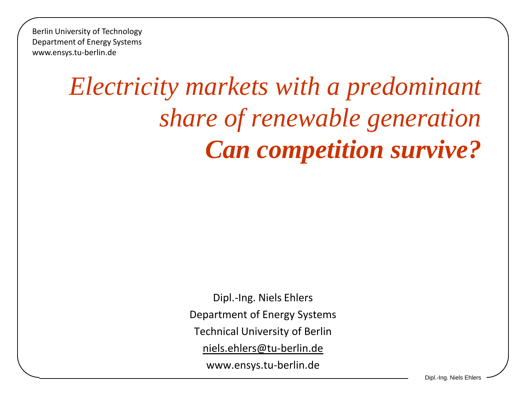Berlin University of Technology Department of Energy Systems www.ensys.tu-berlin.de

# *Electricity markets with a predominant share of renewable generation Can competition survive?*

Dipl.-Ing. Niels Ehlers Department of Energy Systems Technical University of Berlin [niels.ehlers@tu-berlin.de](mailto:niels.ehlers@tu-berlin.de) www.ensys.tu-berlin.de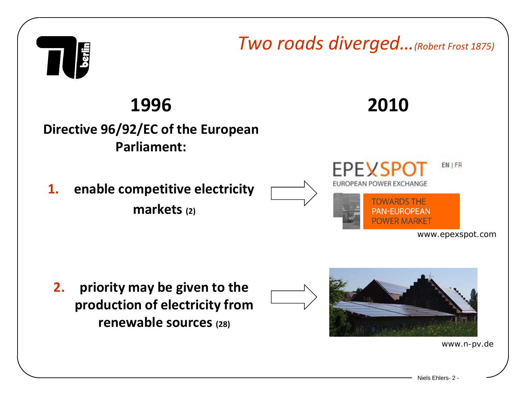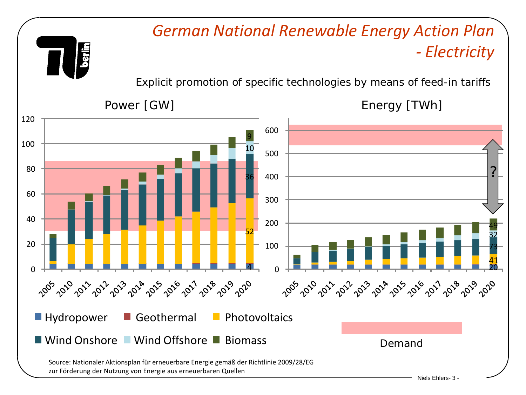#### *German National Renewable Energy Action Plan - Electricity*

Explicit promotion of specific technologies by means of feed-in tariffs

**Aliso** 

Power [GW] Power [GW]

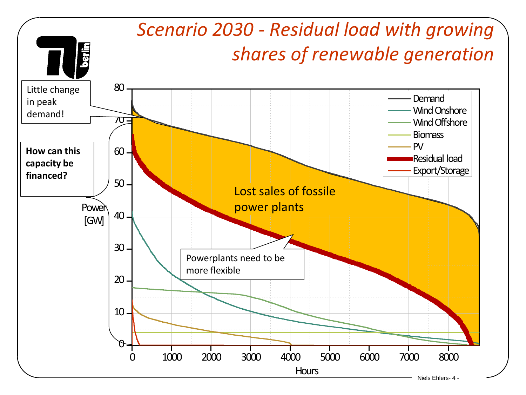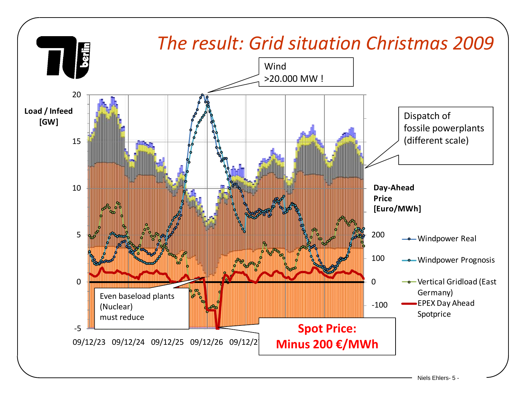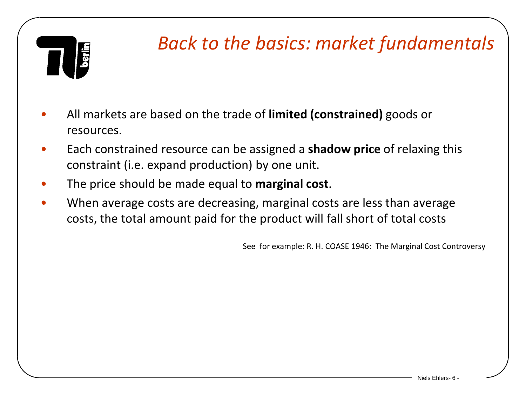

#### *Back to the basics: market fundamentals*

- All markets are based on the trade of **limited (constrained)** goods or resources.
- Each constrained resource can be assigned a **shadow price** of relaxing this constraint (i.e. expand production) by one unit.
- The price should be made equal to **marginal cost**.
- When average costs are decreasing, marginal costs are less than average costs, the total amount paid for the product will fall short of total costs

See for example: R. H. COASE 1946: The Marginal Cost Controversy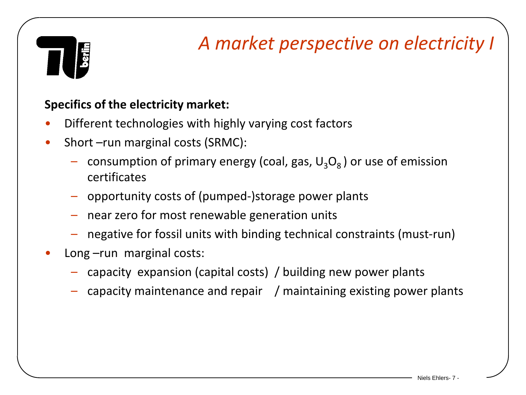

### *A market perspective on electricity I*

#### **Specifics of the electricity market:**

- Different technologies with highly varying cost factors
- Short –run marginal costs (SRMC):
	- consumption of primary energy (coal, gas,  $U_3O_8$ ) or use of emission certificates
	- opportunity costs of (pumped-)storage power plants
	- near zero for most renewable generation units
	- negative for fossil units with binding technical constraints (must-run)
- Long –run marginal costs:
	- capacity expansion (capital costs) / building new power plants
	- capacity maintenance and repair / maintaining existing power plants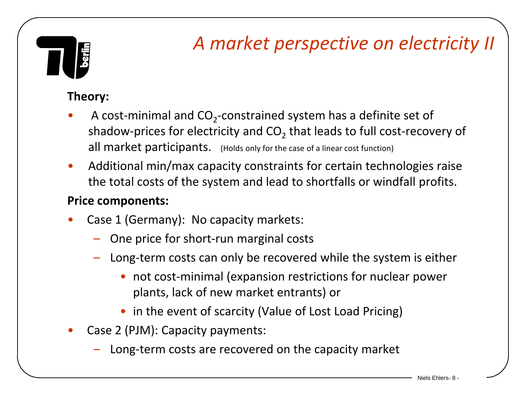### *A market perspective on electricity II*

#### **Theory:**

- A cost-minimal and  $CO<sub>2</sub>$ -constrained system has a definite set of shadow-prices for electricity and  $CO<sub>2</sub>$  that leads to full cost-recovery of all market participants. (Holds only for the case of a linear cost function)
- Additional min/max capacity constraints for certain technologies raise the total costs of the system and lead to shortfalls or windfall profits.

#### **Price components:**

- Case 1 (Germany): No capacity markets:
	- One price for short-run marginal costs
	- Long-term costs can only be recovered while the system is either
		- not cost-minimal (expansion restrictions for nuclear power plants, lack of new market entrants) or
		- in the event of scarcity (Value of Lost Load Pricing)
- Case 2 (PJM): Capacity payments:
	- Long-term costs are recovered on the capacity market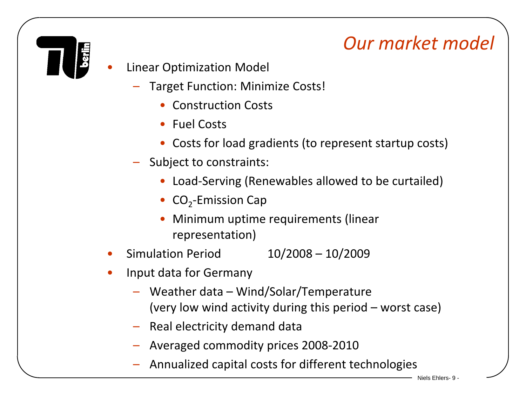### *Our market model*

- Linear Optimization Model
	- Target Function: Minimize Costs!
		- Construction Costs
		- Fuel Costs
		- Costs for load gradients (to represent startup costs)
	- Subject to constraints:
		- Load-Serving (Renewables allowed to be curtailed)
		- $CO<sub>2</sub>$ -Emission Cap
		- Minimum uptime requirements (linear representation)
- Simulation Period 10/2008 10/2009
- Input data for Germany
	- Weather data Wind/Solar/Temperature (very low wind activity during this period – worst case)
	- Real electricity demand data
	- Averaged commodity prices 2008-2010
	- Annualized capital costs for different technologies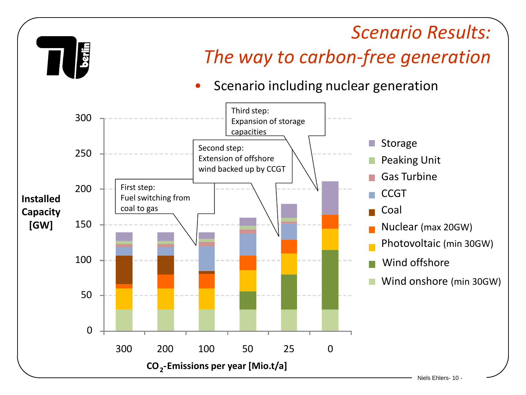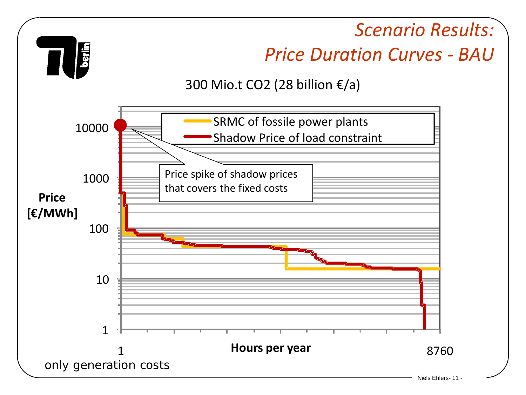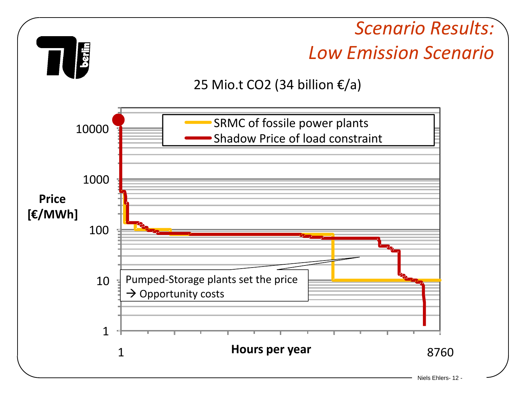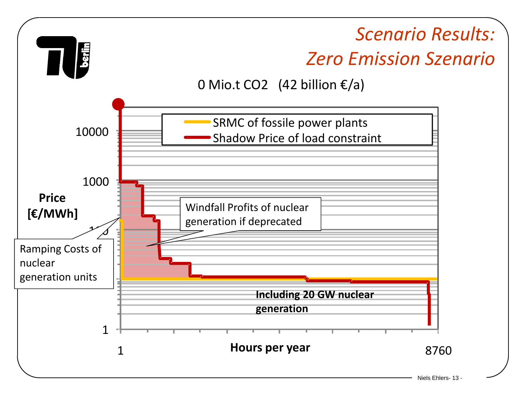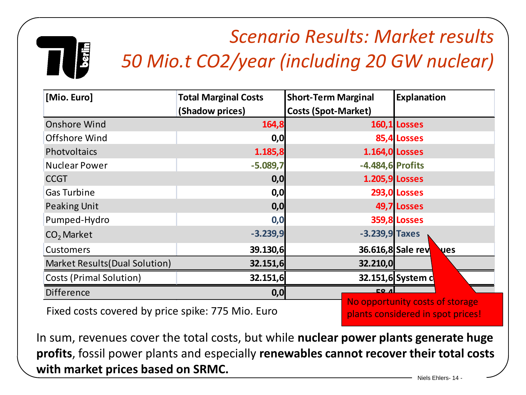## *Scenario Results: Market results 50 Mio.t CO2/year (including 20 GW nuclear)*

| [Mio. Euro]                    | <b>Total Marginal Costs</b> | <b>Short-Term Marginal</b> | <b>Explanation</b>               |
|--------------------------------|-----------------------------|----------------------------|----------------------------------|
|                                | (Shadow prices)             | <b>Costs (Spot-Market)</b> |                                  |
| <b>Onshore Wind</b>            | 164,8                       |                            | 160,1 Losses                     |
| Offshore Wind                  | 0,0                         |                            | 85,4 Losses                      |
| Photvoltaics                   | 1.185,8                     |                            | <b>1.164,0 Losses</b>            |
| <b>Nuclear Power</b>           | $-5.089,7$                  | -4.484,6 Profits           |                                  |
| <b>CCGT</b>                    | 0,0                         |                            | <b>1.205,9 Losses</b>            |
| <b>Gas Turbine</b>             | 0,0                         |                            | <b>293,0 Losses</b>              |
| <b>Peaking Unit</b>            | 0,0                         |                            | 49,7 Losses                      |
| Pumped-Hydro                   | 0,0                         |                            | <b>359,8 Losses</b>              |
| CO <sub>2</sub> Market         | $-3.239,9$                  | $-3.239,9$ Taxes           |                                  |
| <b>Customers</b>               | 39.130,6                    |                            | 36.616,8 Sale rev<br><b>Lues</b> |
| Market Results (Dual Solution) | 32.151,6                    | 32.210,0                   |                                  |
| <b>Costs (Primal Solution)</b> | 32.151,6                    |                            | 32.151,6 System c                |
| Difference                     | 0,0                         | CO <sub>4</sub>            |                                  |
|                                |                             |                            | No opportunity costs of storage  |

Fixed costs covered by price spike: 775 Mio. Euro

plants considered in spot prices!

In sum, revenues cover the total costs, but while **nuclear power plants generate huge profits**, fossil power plants and especially **renewables cannot recover their total costs with market prices based on SRMC.**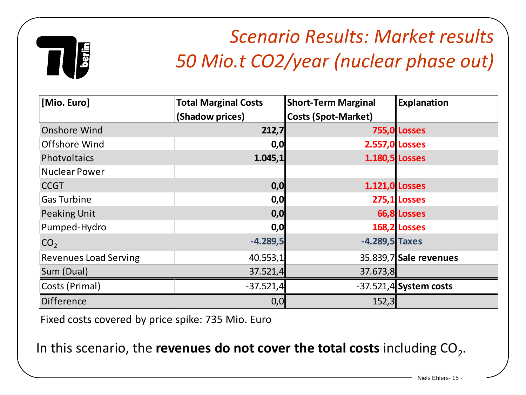

### *Scenario Results: Market results 50 Mio.t CO2/year (nuclear phase out)*

| [Mio. Euro]                  | <b>Total Marginal Costs</b> | <b>Short-Term Marginal</b> | Explanation              |
|------------------------------|-----------------------------|----------------------------|--------------------------|
|                              | (Shadow prices)             | <b>Costs (Spot-Market)</b> |                          |
| <b>Onshore Wind</b>          | 212,7                       |                            | <b>755,0 Losses</b>      |
| Offshore Wind                | 0,0                         | <b>2.557,0 Losses</b>      |                          |
| Photvoltaics                 | 1.045,1                     | 1.180,5 Losses             |                          |
| <b>Nuclear Power</b>         |                             |                            |                          |
| <b>CCGT</b>                  | 0,0                         | <b>1.121,0 Losses</b>      |                          |
| <b>Gas Turbine</b>           | 0,0                         |                            | 275,1 Losses             |
| <b>Peaking Unit</b>          | 0,0                         |                            | 66,8 Losses              |
| Pumped-Hydro                 | 0,0                         |                            | 168,2 Losses             |
| CO <sub>2</sub>              | $-4.289,5$                  | $-4.289,5$ Taxes           |                          |
| <b>Revenues Load Serving</b> | 40.553,1                    |                            | 35.839,7 Sale revenues   |
| Sum (Dual)                   | 37.521,4                    | 37.673,8                   |                          |
| Costs (Primal)               | $-37.521,4$                 |                            | $-37.521,4$ System costs |
| Difference                   | 0,0                         | 152,3                      |                          |

Fixed costs covered by price spike: 735 Mio. Euro

In this scenario, the **revenues do not cover the total costs** including CO<sub>2</sub>.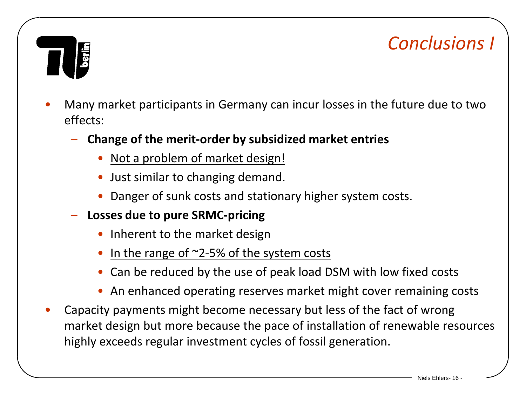#### *Conclusions I*

- Many market participants in Germany can incur losses in the future due to two effects:
	- **Change of the merit-order by subsidized market entries**
		- Not a problem of market design!
		- Just similar to changing demand.
		- Danger of sunk costs and stationary higher system costs.
	- **Losses due to pure SRMC-pricing**
		- Inherent to the market design
		- In the range of  $\approx$ 2-5% of the system costs
		- Can be reduced by the use of peak load DSM with low fixed costs
		- An enhanced operating reserves market might cover remaining costs
- Capacity payments might become necessary but less of the fact of wrong market design but more because the pace of installation of renewable resources highly exceeds regular investment cycles of fossil generation.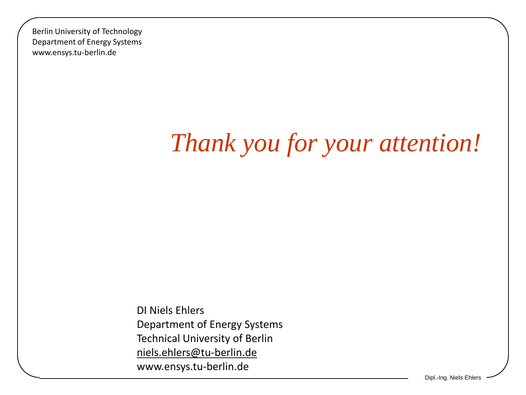Berlin University of Technology Department of Energy Systems www.ensys.tu-berlin.de

# *Thank you for your attention!*

DI Niels Ehlers Department of Energy Systems Technical University of Berlin [niels.ehlers@tu-berlin.de](mailto:niels.ehlers@tu-berlin.de) www.ensys.tu-berlin.de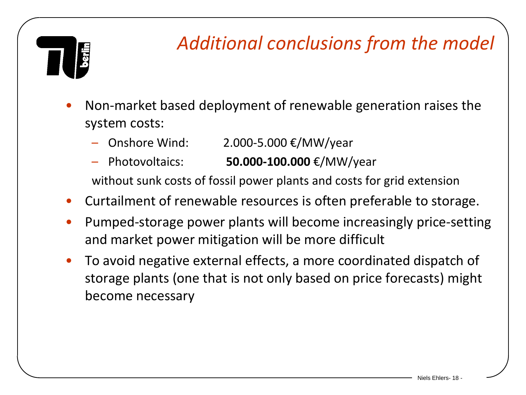#### *Additional conclusions from the model*

- Non-market based deployment of renewable generation raises the system costs:
	- Onshore Wind:  $2.000 5.000 \text{ €}/MW/year$
	- Photovoltaics: **50.000-100.000** €/MW/year

without sunk costs of fossil power plants and costs for grid extension

- Curtailment of renewable resources is often preferable to storage.
- Pumped-storage power plants will become increasingly price-setting and market power mitigation will be more difficult
- To avoid negative external effects, a more coordinated dispatch of storage plants (one that is not only based on price forecasts) might become necessary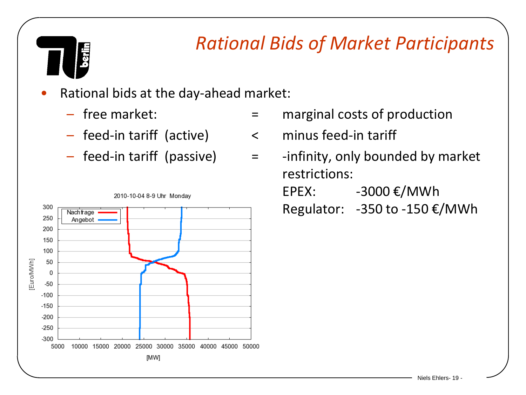# berlin

#### *Rational Bids of Market Participants*

- Rational bids at the day-ahead market:
	-
	- feed-in tariff (active) < minus feed-in tariff
	-



- free market:  $\qquad \qquad = \qquad$  marginal costs of production
	-
- $-$  feed-in tariff (passive)  $=$  -infinity, only bounded by market restrictions: EPEX:  $-3000 \text{ E}/\text{MWh}$ Regulator: -350 to -150 €/MWh